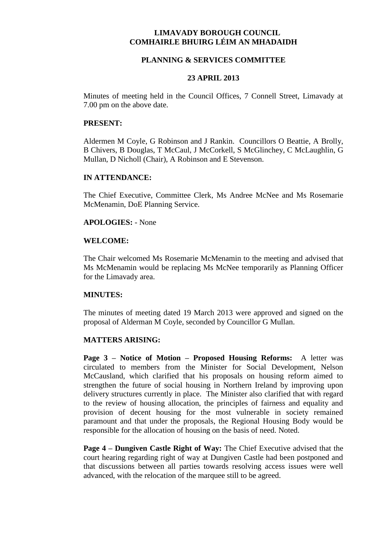# **LIMAVADY BOROUGH COUNCIL COMHAIRLE BHUIRG LÉIM AN MHADAIDH**

### **PLANNING & SERVICES COMMITTEE**

#### **23 APRIL 2013**

Minutes of meeting held in the Council Offices, 7 Connell Street, Limavady at 7.00 pm on the above date.

#### **PRESENT:**

Aldermen M Coyle, G Robinson and J Rankin. Councillors O Beattie, A Brolly, B Chivers, B Douglas, T McCaul, J McCorkell, S McGlinchey, C McLaughlin, G Mullan, D Nicholl (Chair), A Robinson and E Stevenson.

### **IN ATTENDANCE:**

The Chief Executive, Committee Clerk, Ms Andree McNee and Ms Rosemarie McMenamin, DoE Planning Service.

### **APOLOGIES:** - None

## **WELCOME:**

The Chair welcomed Ms Rosemarie McMenamin to the meeting and advised that Ms McMenamin would be replacing Ms McNee temporarily as Planning Officer for the Limavady area.

## **MINUTES:**

The minutes of meeting dated 19 March 2013 were approved and signed on the proposal of Alderman M Coyle, seconded by Councillor G Mullan.

#### **MATTERS ARISING:**

**Page 3 – Notice of Motion – Proposed Housing Reforms:** A letter was circulated to members from the Minister for Social Development, Nelson McCausland, which clarified that his proposals on housing reform aimed to strengthen the future of social housing in Northern Ireland by improving upon delivery structures currently in place. The Minister also clarified that with regard to the review of housing allocation, the principles of fairness and equality and provision of decent housing for the most vulnerable in society remained paramount and that under the proposals, the Regional Housing Body would be responsible for the allocation of housing on the basis of need. Noted.

**Page 4 – Dungiven Castle Right of Way:** The Chief Executive advised that the court hearing regarding right of way at Dungiven Castle had been postponed and that discussions between all parties towards resolving access issues were well advanced, with the relocation of the marquee still to be agreed.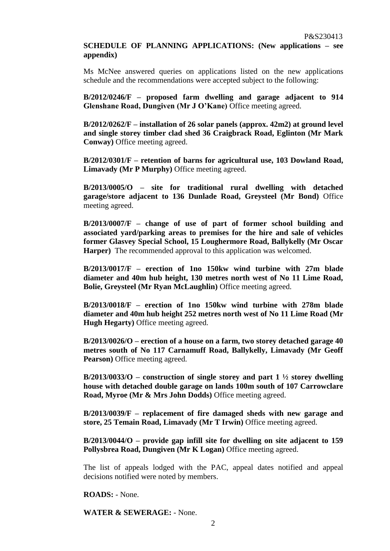# **SCHEDULE OF PLANNING APPLICATIONS: (New applications – see appendix)**

Ms McNee answered queries on applications listed on the new applications schedule and the recommendations were accepted subject to the following:

**B/2012/0246/F – proposed farm dwelling and garage adjacent to 914 Glenshane Road, Dungiven (Mr J O'Kane)** Office meeting agreed.

**B/2012/0262/F – installation of 26 solar panels (approx. 42m2) at ground level and single storey timber clad shed 36 Craigbrack Road, Eglinton (Mr Mark Conway)** Office meeting agreed.

**B/2012/0301/F – retention of barns for agricultural use, 103 Dowland Road, Limavady (Mr P Murphy)** Office meeting agreed.

**B/2013/0005/O – site for traditional rural dwelling with detached garage/store adjacent to 136 Dunlade Road, Greysteel (Mr Bond)** Office meeting agreed.

**B/2013/0007/F – change of use of part of former school building and associated yard/parking areas to premises for the hire and sale of vehicles former Glasvey Special School, 15 Loughermore Road, Ballykelly (Mr Oscar Harper)** The recommended approval to this application was welcomed.

**B/2013/0017/F – erection of 1no 150kw wind turbine with 27m blade diameter and 40m hub height, 130 metres north west of No 11 Lime Road, Bolie, Greysteel (Mr Ryan McLaughlin)** Office meeting agreed.

**B/2013/0018/F – erection of 1no 150kw wind turbine with 278m blade diameter and 40m hub height 252 metres north west of No 11 Lime Road (Mr Hugh Hegarty)** Office meeting agreed.

**B/2013/0026/O – erection of a house on a farm, two storey detached garage 40 metres south of No 117 Carnamuff Road, Ballykelly, Limavady (Mr Geoff Pearson**) Office meeting agreed.

**B/2013/0033/O** – construction of single storey and part  $1\frac{1}{2}$  storey dwelling **house with detached double garage on lands 100m south of 107 Carrowclare Road, Myroe (Mr & Mrs John Dodds)** Office meeting agreed.

**B/2013/0039/F – replacement of fire damaged sheds with new garage and store, 25 Temain Road, Limavady (Mr T Irwin)** Office meeting agreed.

**B/2013/0044/O – provide gap infill site for dwelling on site adjacent to 159 Pollysbrea Road, Dungiven (Mr K Logan)** Office meeting agreed.

The list of appeals lodged with the PAC, appeal dates notified and appeal decisions notified were noted by members.

**ROADS:** - None.

**WATER & SEWERAGE:** - None.